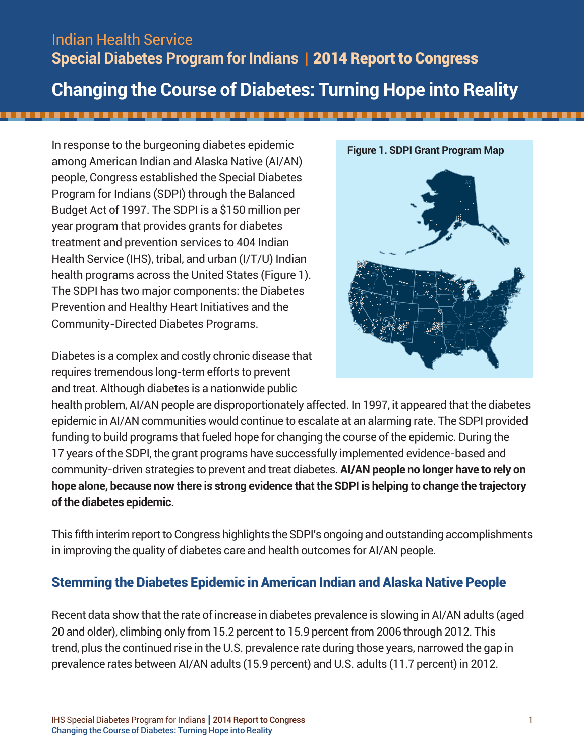# Indian Health Service **Special Diabetes Program for Indians |** 2014 Report to Congress **Changing the Course of Diabetes: Turning Hope into Reality**

In response to the burgeoning diabetes epidemic among American Indian and Alaska Native (AI/AN) people, Congress established the Special Diabetes Program for Indians (SDPI) through the Balanced Budget Act of 1997. The SDPI is a \$150 million per year program that provides grants for diabetes treatment and prevention services to 404 Indian Health Service (IHS), tribal, and urban (I/T/U) Indian health programs across the United States (Figure 1). The SDPI has two major components: the Diabetes Prevention and Healthy Heart Initiatives and the Community-Directed Diabetes Programs.

Diabetes is a complex and costly chronic disease that requires tremendous long-term efforts to prevent and treat. Although diabetes is a nationwide public



health problem, AI/AN people are disproportionately affected. In 1997, it appeared that the diabetes epidemic in AI/AN communities would continue to escalate at an alarming rate. The SDPI provided funding to build programs that fueled hope for changing the course of the epidemic. During the 17 years of the SDPI, the grant programs have successfully implemented evidence-based and community-driven strategies to prevent and treat diabetes. **AI/AN people no longer have to rely on hope alone, because now there is strong evidence that the SDPI is helping to change the trajectory of the diabetes epidemic.** 

This fifth interim report to Congress highlights the SDPI's ongoing and outstanding accomplishments in improving the quality of diabetes care and health outcomes for AI/AN people.

## Stemming the Diabetes Epidemic in American Indian and Alaska Native People

Recent data show that the rate of increase in diabetes prevalence is slowing in AI/AN adults (aged 20 and older), climbing only from 15.2 percent to 15.9 percent from 2006 through 2012. This trend, plus the continued rise in the U.S. prevalence rate during those years, narrowed the gap in prevalence rates between AI/AN adults (15.9 percent) and U.S. adults (11.7 percent) in 2012.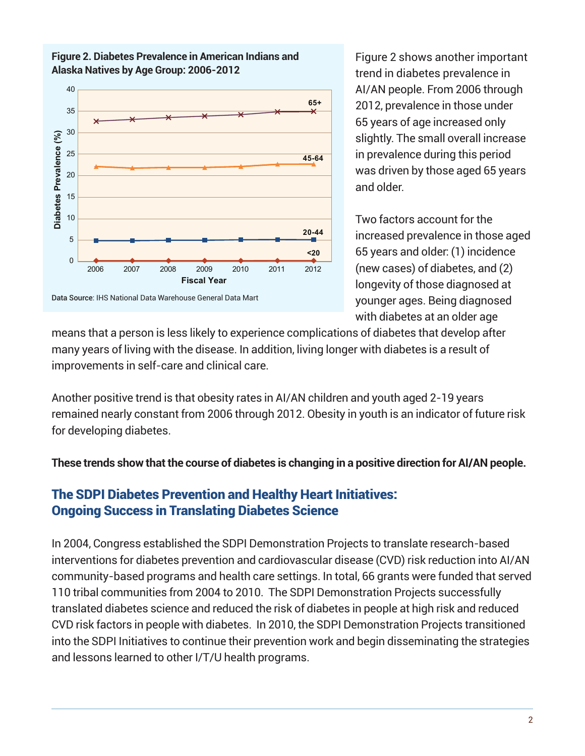

**Figure 2. Diabetes Prevalence in American Indians and Alaska Natives by Age Group: 2006-2012**

Figure 2 shows another important trend in diabetes prevalence in AI/AN people. From 2006 through 2012, prevalence in those under 65 years of age increased only slightly. The small overall increase in prevalence during this period was driven by those aged 65 years and older.

Two factors account for the increased prevalence in those aged 65 years and older: (1) incidence (new cases) of diabetes, and (2) longevity of those diagnosed at younger ages. Being diagnosed with diabetes at an older age

means that a person is less likely to experience complications of diabetes that develop after many years of living with the disease. In addition, living longer with diabetes is a result of improvements in self-care and clinical care.

Another positive trend is that obesity rates in AI/AN children and youth aged 2-19 years remained nearly constant from 2006 through 2012. Obesity in youth is an indicator of future risk for developing diabetes.

**These trends show that the course of diabetes is changing in a positive direction for AI/AN people.**

## The SDPI Diabetes Prevention and Healthy Heart Initiatives: Ongoing Success in Translating Diabetes Science

In 2004, Congress established the SDPI Demonstration Projects to translate research-based interventions for diabetes prevention and cardiovascular disease (CVD) risk reduction into AI/AN community-based programs and health care settings. In total, 66 grants were funded that served 110 tribal communities from 2004 to 2010. The SDPI Demonstration Projects successfully translated diabetes science and reduced the risk of diabetes in people at high risk and reduced CVD risk factors in people with diabetes. In 2010, the SDPI Demonstration Projects transitioned into the SDPI Initiatives to continue their prevention work and begin disseminating the strategies and lessons learned to other I/T/U health programs.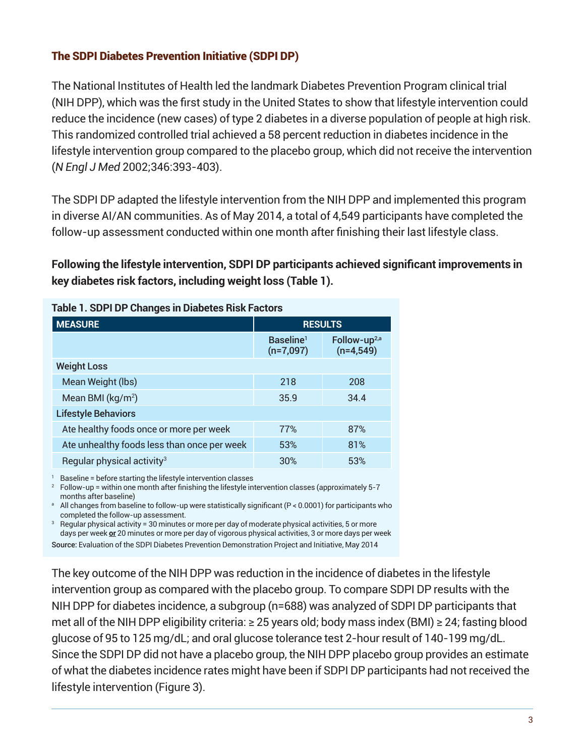### The SDPI Diabetes Prevention Initiative (SDPI DP)

The National Institutes of Health led the landmark Diabetes Prevention Program clinical trial (NIH DPP), which was the first study in the United States to show that lifestyle intervention could reduce the incidence (new cases) of type 2 diabetes in a diverse population of people at high risk. This randomized controlled trial achieved a 58 percent reduction in diabetes incidence in the lifestyle intervention group compared to the placebo group, which did not receive the intervention (*N Engl J Med* 2002;346:393-403).

The SDPI DP adapted the lifestyle intervention from the NIH DPP and implemented this program in diverse AI/AN communities. As of May 2014, a total of 4,549 participants have completed the follow-up assessment conducted within one month after finishing their last lifestyle class.

**Following the lifestyle intervention, SDPI DP participants achieved significant improvements in key diabetes risk factors, including weight loss (Table 1).**

| Table 1. SDPI DP Changes in Diabetes Risk Factors |                                      |                                         |
|---------------------------------------------------|--------------------------------------|-----------------------------------------|
| <b>MEASURE</b>                                    | <b>RESULTS</b>                       |                                         |
|                                                   | Baseline <sup>1</sup><br>$(n=7,097)$ | Follow-up <sup>2,a</sup><br>$(n=4,549)$ |
| <b>Weight Loss</b>                                |                                      |                                         |
| Mean Weight (lbs)                                 | 218                                  | 208                                     |
| Mean BMI (kg/m <sup>2</sup> )                     | 35.9                                 | 34.4                                    |
| <b>Lifestyle Behaviors</b>                        |                                      |                                         |
| Ate healthy foods once or more per week           | 77%                                  | 87%                                     |
| Ate unhealthy foods less than once per week       | 53%                                  | 81%                                     |
| Regular physical activity <sup>3</sup>            | 30%                                  | 53%                                     |

<sup>1</sup> Baseline = before starting the lifestyle intervention classes

<sup>2</sup> Follow-up = within one month after finishing the lifestyle intervention classes (approximately 5-7 months after baseline)

<sup>a</sup> All changes from baseline to follow-up were statistically significant (P < 0.0001) for participants who completed the follow-up assessment.

<sup>3</sup> Regular physical activity = 30 minutes or more per day of moderate physical activities, 5 or more days per week **or** 20 minutes or more per day of vigorous physical activities, 3 or more days per week Source: Evaluation of the SDPI Diabetes Prevention Demonstration Project and Initiative, May 2014

The key outcome of the NIH DPP was reduction in the incidence of diabetes in the lifestyle intervention group as compared with the placebo group. To compare SDPI DP results with the NIH DPP for diabetes incidence, a subgroup (n=688) was analyzed of SDPI DP participants that met all of the NIH DPP eligibility criteria: ≥ 25 years old; body mass index (BMI) ≥ 24; fasting blood glucose of 95 to 125 mg/dL; and oral glucose tolerance test 2-hour result of 140-199 mg/dL. Since the SDPI DP did not have a placebo group, the NIH DPP placebo group provides an estimate of what the diabetes incidence rates might have been if SDPI DP participants had not received the lifestyle intervention (Figure 3).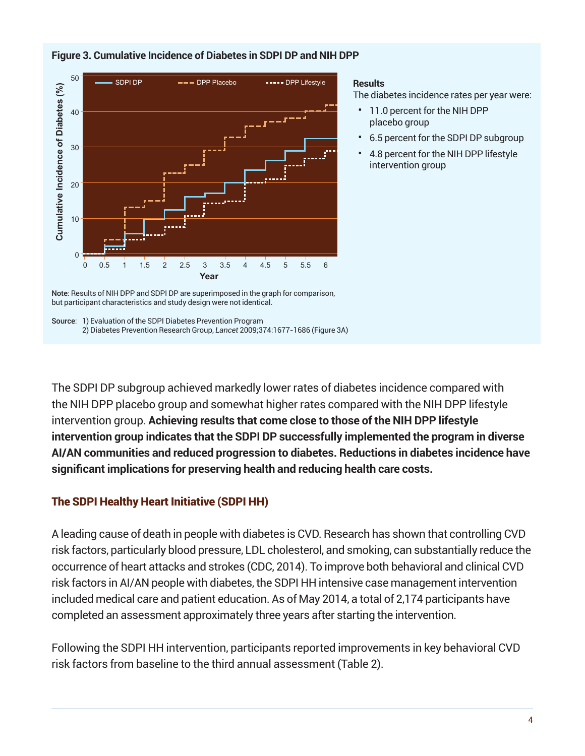

#### **Figure 3. Cumulative Incidence of Diabetes in SDPI DP and NIH DPP**

#### **Results**

The diabetes incidence rates per year were:

- 11.0 percent for the NIH DPP placebo group
- 6.5 percent for the SDPI DP subgroup
- 4.8 percent for the NIH DPP lifestyle intervention group

Note: Results of NIH DPP and SDPI DP are superimposed in the graph for comparison, but participant characteristics and study design were not identical.

Source: 1) Evaluation of the SDPI Diabetes Prevention Program 2) Diabetes Prevention Research Group, *Lancet* 2009;374:1677-1686 (Figure 3A)

The SDPI DP subgroup achieved markedly lower rates of diabetes incidence compared with the NIH DPP placebo group and somewhat higher rates compared with the NIH DPP lifestyle intervention group. **Achieving results that come close to those of the NIH DPP lifestyle intervention group indicates that the SDPI DP successfully implemented the program in diverse AI/AN communities and reduced progression to diabetes. Reductions in diabetes incidence have significant implications for preserving health and reducing health care costs.**

#### The SDPI Healthy Heart Initiative (SDPI HH)

A leading cause of death in people with diabetes is CVD. Research has shown that controlling CVD risk factors, particularly blood pressure, LDL cholesterol, and smoking, can substantially reduce the occurrence of heart attacks and strokes (CDC, 2014). To improve both behavioral and clinical CVD risk factors in AI/AN people with diabetes, the SDPI HH intensive case management intervention included medical care and patient education. As of May 2014, a total of 2,174 participants have completed an assessment approximately three years after starting the intervention.

Following the SDPI HH intervention, participants reported improvements in key behavioral CVD risk factors from baseline to the third annual assessment (Table 2).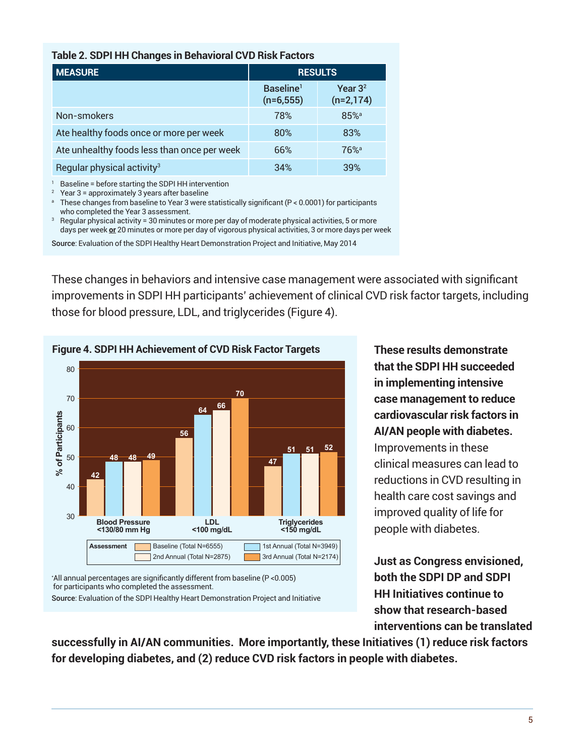| <b>MEASURE</b>                              | <b>RESULTS</b>                       |                                    |
|---------------------------------------------|--------------------------------------|------------------------------------|
|                                             | Baseline <sup>1</sup><br>$(n=6,555)$ | Year 3 <sup>2</sup><br>$(n=2,174)$ |
| Non-smokers                                 | 78%                                  | 85% <sup>a</sup>                   |
| Ate healthy foods once or more per week     | 80%                                  | 83%                                |
| Ate unhealthy foods less than once per week | 66%                                  | $76%$ <sup>a</sup>                 |
| Regular physical activity <sup>3</sup>      | 34%                                  | 39%                                |

<sup>1</sup> Baseline = before starting the SDPI HH intervention<br><sup>2</sup> Year 3 = approximately 3 years after baseline<br><sup>a</sup> These changes from baseline to Year 3 were statistically significant (P < 0.0001) for participants who completed the Year 3 assessment.

<sup>3</sup> Regular physical activity = 30 minutes or more per day of moderate physical activities, 5 or more days per week **or** 20 minutes or more per day of vigorous physical activities, 3 or more days per week

Source: Evaluation of the SDPI Healthy Heart Demonstration Project and Initiative, May 2014

These changes in behaviors and intensive case management were associated with significant improvements in SDPI HH participants' achievement of clinical CVD risk factor targets, including those for blood pressure, LDL, and triglycerides (Figure 4).



**Figure 4. SDPI HH Achievement of CVD Risk Factor Targets These results demonstrate** 

\* All annual percentages are significantly different from baseline (P <0.005) for participants who completed the assessment.

Source: Evaluation of the SDPI Healthy Heart Demonstration Project and Initiative

**that the SDPI HH succeeded in implementing intensive case management to reduce cardiovascular risk factors in AI/AN people with diabetes.**  Improvements in these clinical measures can lead to reductions in CVD resulting in health care cost savings and improved quality of life for people with diabetes.

**Just as Congress envisioned, both the SDPI DP and SDPI HH Initiatives continue to show that research-based interventions can be translated** 

**successfully in AI/AN communities. More importantly, these Initiatives (1) reduce risk factors for developing diabetes, and (2) reduce CVD risk factors in people with diabetes.**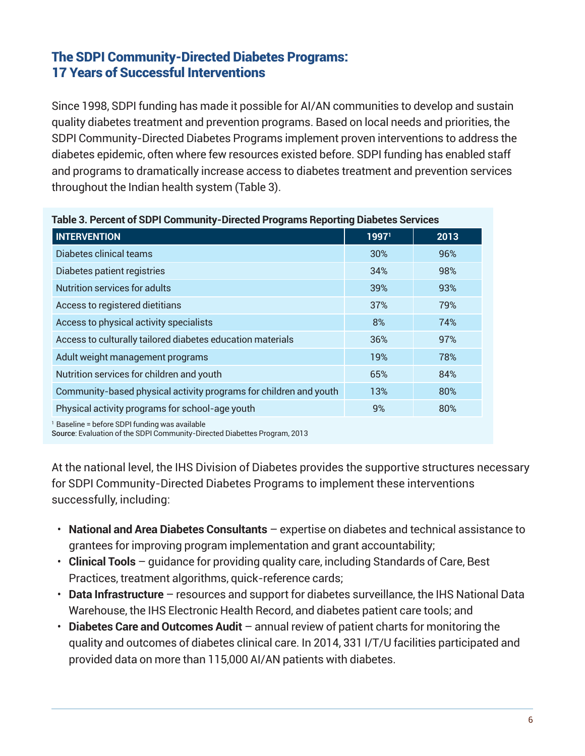### The SDPI Community-Directed Diabetes Programs: 17 Years of Successful Interventions

Since 1998, SDPI funding has made it possible for AI/AN communities to develop and sustain quality diabetes treatment and prevention programs. Based on local needs and priorities, the SDPI Community-Directed Diabetes Programs implement proven interventions to address the diabetes epidemic, often where few resources existed before. SDPI funding has enabled staff and programs to dramatically increase access to diabetes treatment and prevention services throughout the Indian health system (Table 3).

| Table 3. Percent of SDPI Community-Directed Programs Reporting Diabetes Services |       |      |  |
|----------------------------------------------------------------------------------|-------|------|--|
| <b>INTERVENTION</b>                                                              | 19971 | 2013 |  |
| Diabetes clinical teams                                                          | 30%   | 96%  |  |
| Diabetes patient registries                                                      | 34%   | 98%  |  |
| <b>Nutrition services for adults</b>                                             | 39%   | 93%  |  |
| Access to registered dietitians                                                  | 37%   | 79%  |  |
| Access to physical activity specialists                                          | 8%    | 74%  |  |
| Access to culturally tailored diabetes education materials                       | 36%   | 97%  |  |
| Adult weight management programs                                                 | 19%   | 78%  |  |
| Nutrition services for children and youth                                        | 65%   | 84%  |  |
| Community-based physical activity programs for children and youth                | 13%   | 80%  |  |
| Physical activity programs for school-age youth                                  | 9%    | 80%  |  |
| 1 Benedicts - Jackson OBBI from the access acceptable to                         |       |      |  |

<sup>1</sup> Baseline = before SDPI funding was available

Source: Evaluation of the SDPI Community-Directed Diabettes Program, 2013

At the national level, the IHS Division of Diabetes provides the supportive structures necessary for SDPI Community-Directed Diabetes Programs to implement these interventions successfully, including:

- **National and Area Diabetes Consultants** expertise on diabetes and technical assistance to grantees for improving program implementation and grant accountability;
- **Clinical Tools**  guidance for providing quality care, including Standards of Care, Best Practices, treatment algorithms, quick-reference cards;
- **Data Infrastructure** resources and support for diabetes surveillance, the IHS National Data Warehouse, the IHS Electronic Health Record, and diabetes patient care tools; and
- **Diabetes Care and Outcomes Audit** annual review of patient charts for monitoring the quality and outcomes of diabetes clinical care. In 2014, 331 I/T/U facilities participated and provided data on more than 115,000 AI/AN patients with diabetes.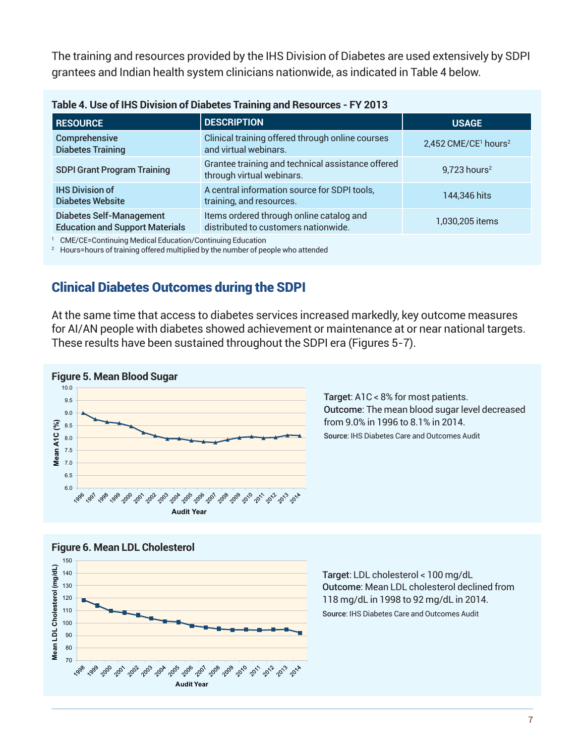The training and resources provided by the IHS Division of Diabetes are used extensively by SDPI grantees and Indian health system clinicians nationwide, as indicated in Table 4 below.

| Table 4. OSE OF INS DIVISION OF DIADELES TRAINING AND NESOURCES - F 1 ZUTS                                                                               |                                                                                  |                                              |  |  |
|----------------------------------------------------------------------------------------------------------------------------------------------------------|----------------------------------------------------------------------------------|----------------------------------------------|--|--|
| <b>RESOURCE</b>                                                                                                                                          | <b>DESCRIPTION</b>                                                               | <b>USAGE</b>                                 |  |  |
| Comprehensive<br><b>Diabetes Training</b>                                                                                                                | Clinical training offered through online courses<br>and virtual webinars.        | 2,452 CME/CE <sup>1</sup> hours <sup>2</sup> |  |  |
| <b>SDPI Grant Program Training</b>                                                                                                                       | Grantee training and technical assistance offered<br>through virtual webinars.   | $9,723$ hours <sup>2</sup>                   |  |  |
| <b>IHS Division of</b><br><b>Diabetes Website</b>                                                                                                        | A central information source for SDPI tools,<br>training, and resources.         | 144,346 hits                                 |  |  |
| <b>Diabetes Self-Management</b><br><b>Education and Support Materials</b>                                                                                | Items ordered through online catalog and<br>distributed to customers nationwide. | 1,030,205 items                              |  |  |
| CME/CE=Continuing Medical Education/Continuing Education<br><sup>2</sup> Houreshoure of training offered multiplied by the number of people who attended |                                                                                  |                                              |  |  |

| Table 4. Use of IHS Division of Diabetes Training and Resources - FY 2013 |  |
|---------------------------------------------------------------------------|--|
|---------------------------------------------------------------------------|--|

 $^{\rm 2}~\,$  Hours=hours of training offered multiplied by the number of people who attended

### Clinical Diabetes Outcomes during the SDPI

At the same time that access to diabetes services increased markedly, key outcome measures for AI/AN people with diabetes showed achievement or maintenance at or near national targets. These results have been sustained throughout the SDPI era (Figures 5-7).



Target: A1C < 8% for most patients. Outcome: The mean blood sugar level decreased from 9.0% in 1996 to 8.1% in 2014. Source: IHS Diabetes Care and Outcomes Audit





Target: LDL cholesterol < 100 mg/dL Outcome: Mean LDL cholesterol declined from 118 mg/dL in 1998 to 92 mg/dL in 2014. Source: IHS Diabetes Care and Outcomes Audit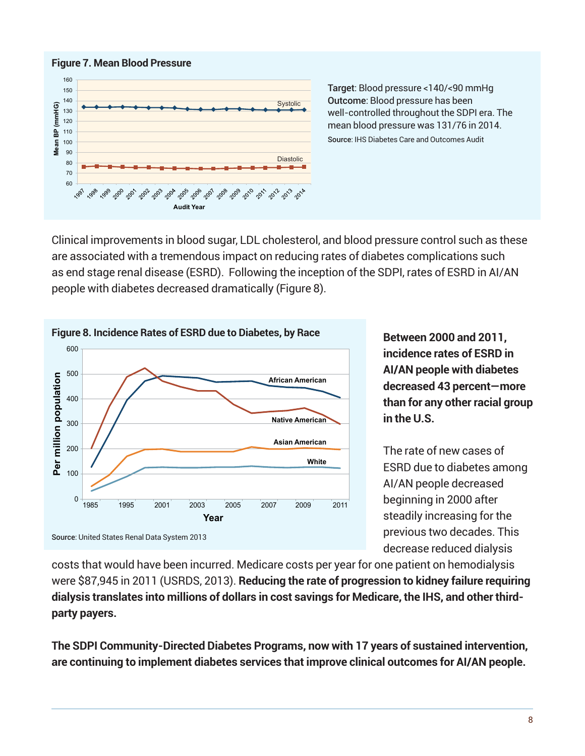

Target: Blood pressure <140/<90 mmHg Outcome: Blood pressure has been well-controlled throughout the SDPI era. The mean blood pressure was 131/76 in 2014. Source: IHS Diabetes Care and Outcomes Audit

Clinical improvements in blood sugar, LDL cholesterol, and blood pressure control such as these are associated with a tremendous impact on reducing rates of diabetes complications such as end stage renal disease (ESRD). Following the inception of the SDPI, rates of ESRD in AI/AN people with diabetes decreased dramatically (Figure 8).



**incidence rates of ESRD in AI/AN people with diabetes decreased 43 percent—more than for any other racial group in the U.S.**

The rate of new cases of ESRD due to diabetes among AI/AN people decreased beginning in 2000 after steadily increasing for the previous two decades. This decrease reduced dialysis

costs that would have been incurred. Medicare costs per year for one patient on hemodialysis were \$87,945 in 2011 (USRDS, 2013). **Reducing the rate of progression to kidney failure requiring dialysis translates into millions of dollars in cost savings for Medicare, the IHS, and other thirdparty payers.**

**The SDPI Community-Directed Diabetes Programs, now with 17 years of sustained intervention, are continuing to implement diabetes services that improve clinical outcomes for AI/AN people.**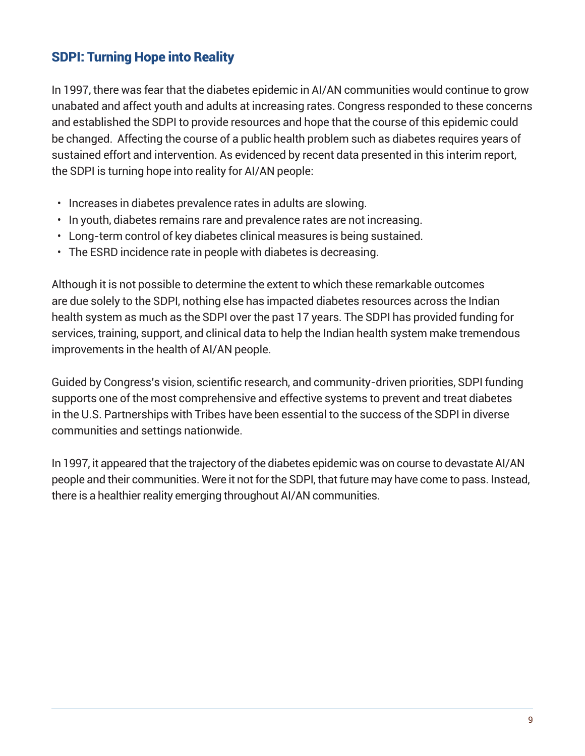### SDPI: Turning Hope into Reality

In 1997, there was fear that the diabetes epidemic in AI/AN communities would continue to grow unabated and affect youth and adults at increasing rates. Congress responded to these concerns and established the SDPI to provide resources and hope that the course of this epidemic could be changed. Affecting the course of a public health problem such as diabetes requires years of sustained effort and intervention. As evidenced by recent data presented in this interim report, the SDPI is turning hope into reality for AI/AN people:

- Increases in diabetes prevalence rates in adults are slowing.
- In youth, diabetes remains rare and prevalence rates are not increasing.
- Long-term control of key diabetes clinical measures is being sustained.
- The ESRD incidence rate in people with diabetes is decreasing.

Although it is not possible to determine the extent to which these remarkable outcomes are due solely to the SDPI, nothing else has impacted diabetes resources across the Indian health system as much as the SDPI over the past 17 years. The SDPI has provided funding for services, training, support, and clinical data to help the Indian health system make tremendous improvements in the health of AI/AN people.

Guided by Congress's vision, scientific research, and community-driven priorities, SDPI funding supports one of the most comprehensive and effective systems to prevent and treat diabetes in the U.S. Partnerships with Tribes have been essential to the success of the SDPI in diverse communities and settings nationwide.

In 1997, it appeared that the trajectory of the diabetes epidemic was on course to devastate AI/AN people and their communities. Were it not for the SDPI, that future may have come to pass. Instead, there is a healthier reality emerging throughout AI/AN communities.